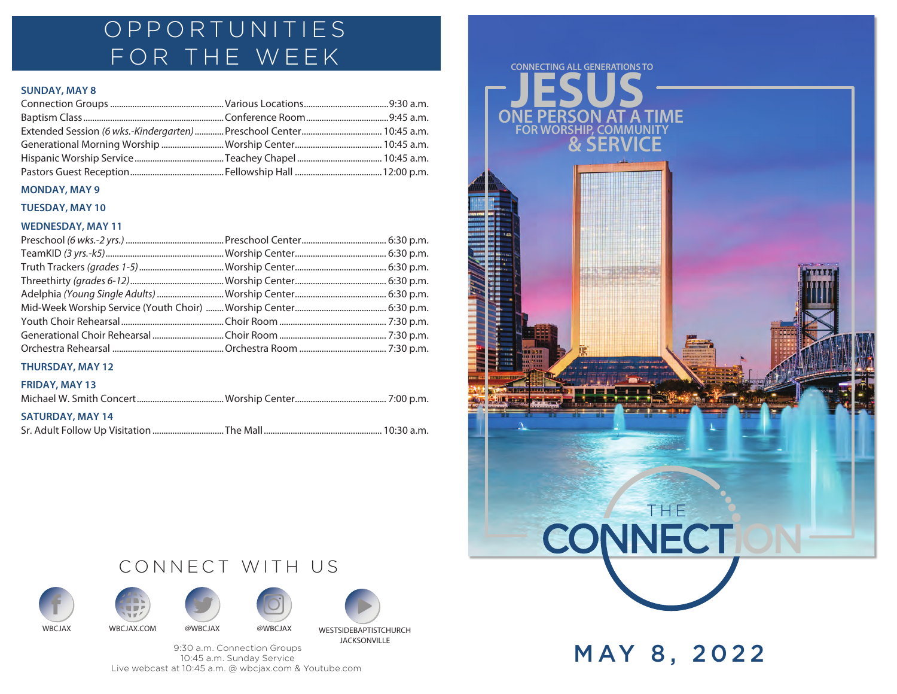### OPPORTUNITIES FOR THE WEEK

#### **SUNDAY, MAY 8**

#### **MONDAY, MAY 9**

#### **TUESDAY, MAY 10**

#### **WEDNESDAY, MAY 11**

#### **THURSDAY, MAY 12**

#### **FRIDAY, MAY 13**

| <b>SATURDAY, MAY 14</b> |  |
|-------------------------|--|
|                         |  |











9:30 a.m. Connection Groups 10:45 a.m. Sunday Service Live webcast at 10:45 a.m. @ wbcjax.com & Youtube.com



MAY 8, 2022